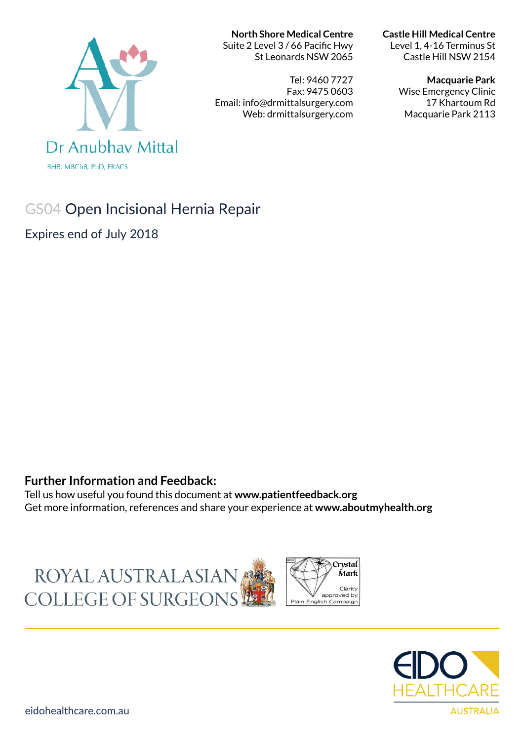# Dr Anubhay Mittal

**BHB, MBChB, PhD, FRACS** 

# GS04 Open Incisional Hernia Repair

Expires end of July 2018

### **Further Information and Feedback:**

Tell us how useful you found this document at **www.patientfeedback.org** Get more information, references and share your experience at **www.aboutmyhealth.org**

ROYAL AUSTRALASIAN COLLEGE OF SURGEONS



**North Shore Medical Centre**  Suite 2 Level 3 / 66 Pacific Hwy St Leonards NSW 2065

Tel: 9460 7727 Fax: 9475 0603 Email: info@drmittalsurgery.com Web: drmittalsurgery.com

#### **Castle Hill Medical Centre**

Level 1, 4-16 Terminus St Castle Hill NSW 2154

#### **Macquarie Park**

Wise Emergency Clinic 17 Khartoum Rd Macquarie Park 2113





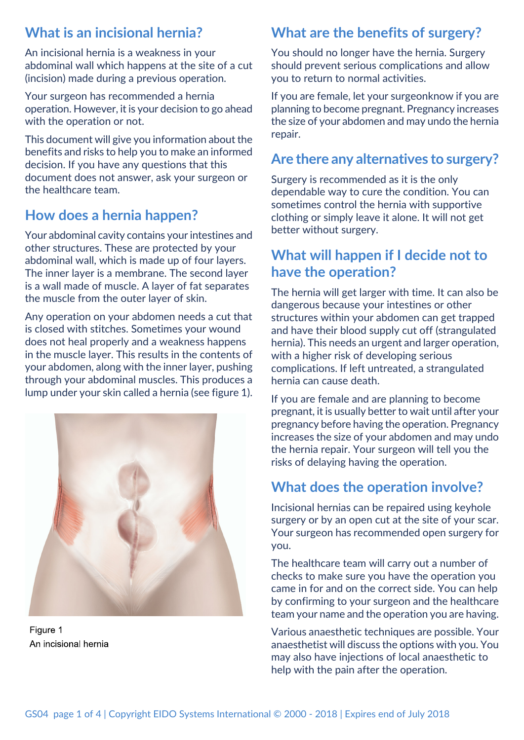## **What is an incisional hernia?**

An incisional hernia is a weakness in your abdominal wall which happens at the site of a cut (incision) made during a previous operation.

Your surgeon has recommended a hernia operation. However, it is your decision to go ahead with the operation or not.

This document will give you information about the benefits and risks to help you to make an informed decision. If you have any questions that this document does not answer, ask your surgeon or the healthcare team.

# **How does a hernia happen?**

Your abdominal cavity contains your intestines and other structures. These are protected by your abdominal wall, which is made up of four layers. The inner layer is a membrane. The second layer is a wall made of muscle. A layer of fat separates the muscle from the outer layer of skin.

Any operation on your abdomen needs a cut that is closed with stitches. Sometimes your wound does not heal properly and a weakness happens in the muscle layer. This results in the contents of your abdomen, along with the inner layer, pushing through your abdominal muscles. This produces a lump under your skin called a hernia (see figure 1).



Figure 1 An incisional hernia

# **What are the benefits of surgery?**

You should no longer have the hernia. Surgery should prevent serious complications and allow you to return to normal activities.

If you are female, let your surgeonknow if you are planning to become pregnant. Pregnancy increases the size of your abdomen and may undo the hernia repair.

## **Are there any alternatives to surgery?**

Surgery is recommended as it is the only dependable way to cure the condition. You can sometimes control the hernia with supportive clothing or simply leave it alone. It will not get better without surgery.

## **What will happen if I decide not to have the operation?**

The hernia will get larger with time. It can also be dangerous because your intestines or other structures within your abdomen can get trapped and have their blood supply cut off (strangulated hernia). This needs an urgent and larger operation, with a higher risk of developing serious complications. If left untreated, a strangulated hernia can cause death.

If you are female and are planning to become pregnant, it is usually better to wait until after your pregnancy before having the operation. Pregnancy increases the size of your abdomen and may undo the hernia repair. Your surgeon will tell you the risks of delaying having the operation.

## **What does the operation involve?**

Incisional hernias can be repaired using keyhole surgery or by an open cut at the site of your scar. Your surgeon has recommended open surgery for you.

The healthcare team will carry out a number of checks to make sure you have the operation you came in for and on the correct side. You can help by confirming to your surgeon and the healthcare team your name and the operation you are having.

Various anaesthetic techniques are possible. Your anaesthetist will discuss the options with you. You may also have injections of local anaesthetic to help with the pain after the operation.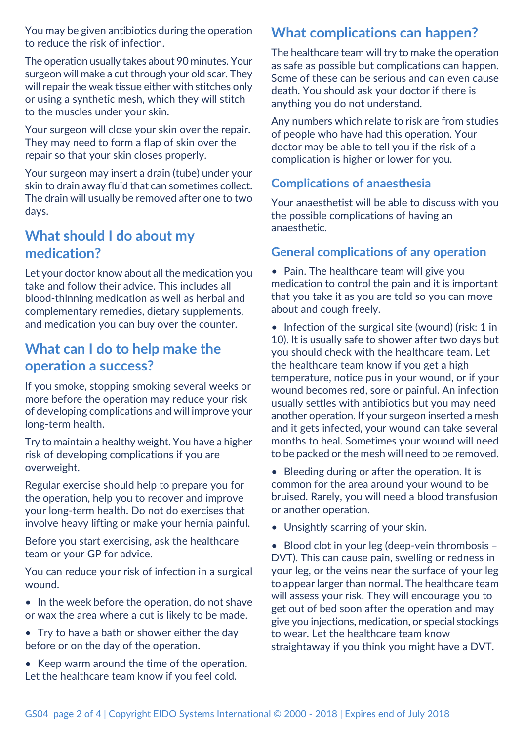You may be given antibiotics during the operation to reduce the risk of infection.

The operation usually takes about 90 minutes. Your surgeon will make a cut through your old scar. They will repair the weak tissue either with stitches only or using a synthetic mesh, which they will stitch to the muscles under your skin.

Your surgeon will close your skin over the repair. They may need to form a flap of skin over the repair so that your skin closes properly.

Your surgeon may insert a drain (tube) under your skin to drain away fluid that can sometimes collect. The drain will usually be removed after one to two days.

## **What should I do about my medication?**

Let your doctor know about all the medication you take and follow their advice. This includes all blood-thinning medication as well as herbal and complementary remedies, dietary supplements, and medication you can buy over the counter.

## **What can I do to help make the operation a success?**

If you smoke, stopping smoking several weeks or more before the operation may reduce your risk of developing complications and will improve your long-term health.

Try to maintain a healthy weight. You have a higher risk of developing complications if you are overweight.

Regular exercise should help to prepare you for the operation, help you to recover and improve your long-term health. Do not do exercises that involve heavy lifting or make your hernia painful.

Before you start exercising, ask the healthcare team or your GP for advice.

You can reduce your risk of infection in a surgical wound.

- In the week before the operation, do not shave or wax the area where a cut is likely to be made.
- Try to have a bath or shower either the day before or on the day of the operation.
- Keep warm around the time of the operation. Let the healthcare team know if you feel cold.

# **What complications can happen?**

The healthcare team will try to make the operation as safe as possible but complications can happen. Some of these can be serious and can even cause death. You should ask your doctor if there is anything you do not understand.

Any numbers which relate to risk are from studies of people who have had this operation. Your doctor may be able to tell you if the risk of a complication is higher or lower for you.

## **Complications of anaesthesia**

Your anaesthetist will be able to discuss with you the possible complications of having an anaesthetic.

## **General complications of any operation**

• Pain. The healthcare team will give you medication to control the pain and it is important that you take it as you are told so you can move about and cough freely.

• Infection of the surgical site (wound) (risk: 1 in 10). It is usually safe to shower after two days but you should check with the healthcare team. Let the healthcare team know if you get a high temperature, notice pus in your wound, or if your wound becomes red, sore or painful. An infection usually settles with antibiotics but you may need another operation. If your surgeon inserted a mesh and it gets infected, your wound can take several months to heal. Sometimes your wound will need to be packed or the mesh will need to be removed.

• Bleeding during or after the operation. It is common for the area around your wound to be bruised. Rarely, you will need a blood transfusion or another operation.

• Unsightly scarring of your skin.

• Blood clot in your leg (deep-vein thrombosis – DVT). This can cause pain, swelling or redness in your leg, or the veins near the surface of your leg to appear larger than normal. The healthcare team will assess your risk. They will encourage you to get out of bed soon after the operation and may give you injections, medication, or special stockings to wear. Let the healthcare team know straightaway if you think you might have a DVT.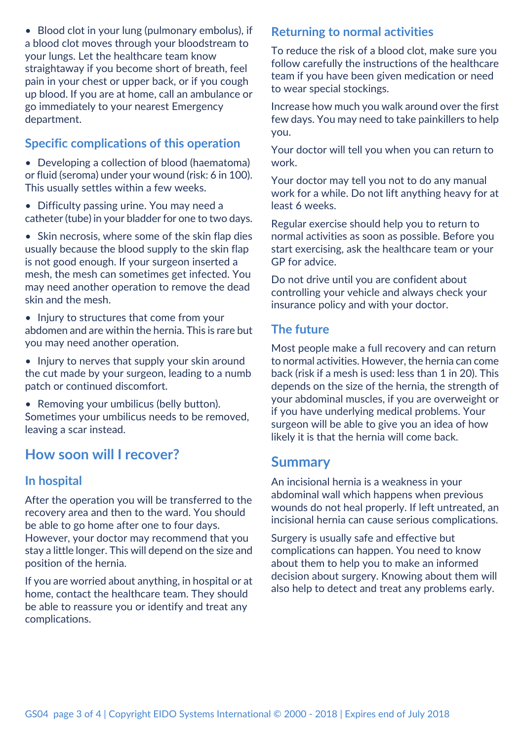• Blood clot in your lung (pulmonary embolus), if a blood clot moves through your bloodstream to your lungs. Let the healthcare team know straightaway if you become short of breath, feel pain in your chest or upper back, or if you cough up blood. If you are at home, call an ambulance or go immediately to your nearest Emergency department.

#### **Specific complications of this operation**

- Developing a collection of blood (haematoma) or fluid (seroma) under your wound (risk: 6 in 100). This usually settles within a few weeks.
- Difficulty passing urine. You may need a catheter (tube) in your bladder for one to two days.

• Skin necrosis, where some of the skin flap dies usually because the blood supply to the skin flap is not good enough. If your surgeon inserted a mesh, the mesh can sometimes get infected. You may need another operation to remove the dead skin and the mesh.

- Injury to structures that come from your abdomen and are within the hernia. This is rare but you may need another operation.
- Injury to nerves that supply your skin around the cut made by your surgeon, leading to a numb patch or continued discomfort.
- Removing your umbilicus (belly button). Sometimes your umbilicus needs to be removed, leaving a scar instead.

## **How soon will I recover?**

#### **In hospital**

After the operation you will be transferred to the recovery area and then to the ward. You should be able to go home after one to four days. However, your doctor may recommend that you stay a little longer. This will depend on the size and position of the hernia.

If you are worried about anything, in hospital or at home, contact the healthcare team. They should be able to reassure you or identify and treat any complications.

#### **Returning to normal activities**

To reduce the risk of a blood clot, make sure you follow carefully the instructions of the healthcare team if you have been given medication or need to wear special stockings.

Increase how much you walk around over the first few days. You may need to take painkillers to help you.

Your doctor will tell you when you can return to work.

Your doctor may tell you not to do any manual work for a while. Do not lift anything heavy for at least 6 weeks.

Regular exercise should help you to return to normal activities as soon as possible. Before you start exercising, ask the healthcare team or your GP for advice.

Do not drive until you are confident about controlling your vehicle and always check your insurance policy and with your doctor.

#### **The future**

Most people make a full recovery and can return to normal activities. However, the hernia can come back (risk if a mesh is used: less than 1 in 20). This depends on the size of the hernia, the strength of your abdominal muscles, if you are overweight or if you have underlying medical problems. Your surgeon will be able to give you an idea of how likely it is that the hernia will come back.

### **Summary**

An incisional hernia is a weakness in your abdominal wall which happens when previous wounds do not heal properly. If left untreated, an incisional hernia can cause serious complications.

Surgery is usually safe and effective but complications can happen. You need to know about them to help you to make an informed decision about surgery. Knowing about them will also help to detect and treat any problems early.